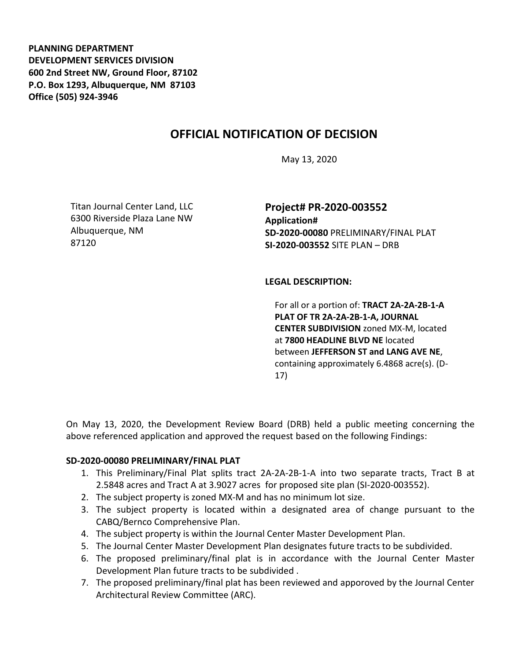**PLANNING DEPARTMENT DEVELOPMENT SERVICES DIVISION 600 2nd Street NW, Ground Floor, 87102 P.O. Box 1293, Albuquerque, NM 87103 Office (505) 924-3946** 

# **OFFICIAL NOTIFICATION OF DECISION**

May 13, 2020

Titan Journal Center Land, LLC 6300 Riverside Plaza Lane NW Albuquerque, NM 87120

**Project# PR-2020-003552 Application# SD-2020-00080** PRELIMINARY/FINAL PLAT **SI-2020-003552** SITE PLAN – DRB

### **LEGAL DESCRIPTION:**

For all or a portion of: **TRACT 2A-2A-2B-1-A PLAT OF TR 2A-2A-2B-1-A, JOURNAL CENTER SUBDIVISION** zoned MX-M, located at **7800 HEADLINE BLVD NE** located between **JEFFERSON ST and LANG AVE NE**, containing approximately 6.4868 acre(s). (D-17)

On May 13, 2020, the Development Review Board (DRB) held a public meeting concerning the above referenced application and approved the request based on the following Findings:

#### **SD-2020-00080 PRELIMINARY/FINAL PLAT**

- 1. This Preliminary/Final Plat splits tract 2A-2A-2B-1-A into two separate tracts, Tract B at 2.5848 acres and Tract A at 3.9027 acres for proposed site plan (SI-2020-003552).
- 2. The subject property is zoned MX-M and has no minimum lot size.
- 3. The subject property is located within a designated area of change pursuant to the CABQ/Bernco Comprehensive Plan.
- 4. The subject property is within the Journal Center Master Development Plan.
- 5. The Journal Center Master Development Plan designates future tracts to be subdivided.
- 6. The proposed preliminary/final plat is in accordance with the Journal Center Master Development Plan future tracts to be subdivided .
- 7. The proposed preliminary/final plat has been reviewed and apporoved by the Journal Center Architectural Review Committee (ARC).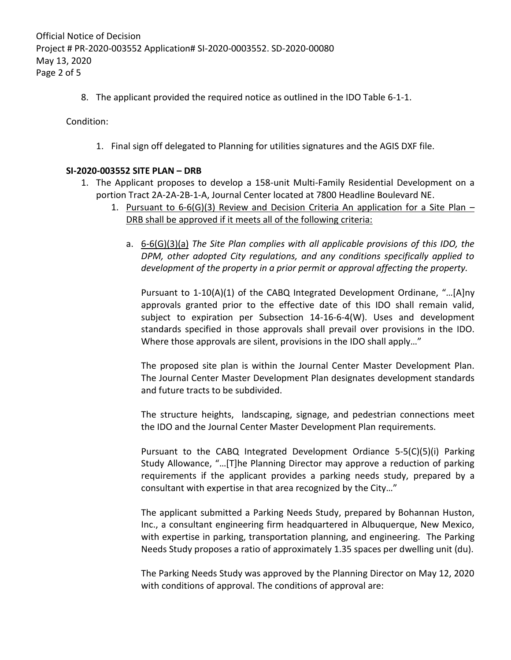8. The applicant provided the required notice as outlined in the IDO Table 6-1-1.

Condition:

1. Final sign off delegated to Planning for utilities signatures and the AGIS DXF file.

## **SI-2020-003552 SITE PLAN – DRB**

- 1. The Applicant proposes to develop a 158-unit Multi-Family Residential Development on a portion Tract 2A-2A-2B-1-A, Journal Center located at 7800 Headline Boulevard NE.
	- 1. Pursuant to  $6-6$ (G)(3) Review and Decision Criteria An application for a Site Plan DRB shall be approved if it meets all of the following criteria:
		- a. 6-6(G)(3)(a) *The Site Plan complies with all applicable provisions of this IDO, the DPM, other adopted City regulations, and any conditions specifically applied to development of the property in a prior permit or approval affecting the property.*

Pursuant to 1-10(A)(1) of the CABQ Integrated Development Ordinane, "…[A]ny approvals granted prior to the effective date of this IDO shall remain valid, subject to expiration per Subsection 14-16-6-4(W). Uses and development standards specified in those approvals shall prevail over provisions in the IDO. Where those approvals are silent, provisions in the IDO shall apply…"

The proposed site plan is within the Journal Center Master Development Plan. The Journal Center Master Development Plan designates development standards and future tracts to be subdivided.

The structure heights, landscaping, signage, and pedestrian connections meet the IDO and the Journal Center Master Development Plan requirements.

Pursuant to the CABQ Integrated Development Ordiance 5-5(C)(5)(i) Parking Study Allowance, "…[T]he Planning Director may approve a reduction of parking requirements if the applicant provides a parking needs study, prepared by a consultant with expertise in that area recognized by the City…"

The applicant submitted a Parking Needs Study, prepared by Bohannan Huston, Inc., a consultant engineering firm headquartered in Albuquerque, New Mexico, with expertise in parking, transportation planning, and engineering. The Parking Needs Study proposes a ratio of approximately 1.35 spaces per dwelling unit (du).

The Parking Needs Study was approved by the Planning Director on May 12, 2020 with conditions of approval. The conditions of approval are: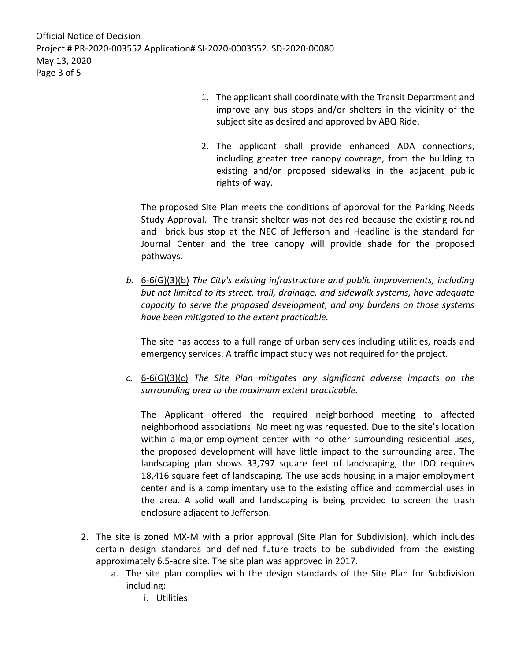- 1. The applicant shall coordinate with the Transit Department and improve any bus stops and/or shelters in the vicinity of the subject site as desired and approved by ABQ Ride.
- 2. The applicant shall provide enhanced ADA connections, including greater tree canopy coverage, from the building to existing and/or proposed sidewalks in the adjacent public rights-of-way.

The proposed Site Plan meets the conditions of approval for the Parking Needs Study Approval. The transit shelter was not desired because the existing round and brick bus stop at the NEC of Jefferson and Headline is the standard for Journal Center and the tree canopy will provide shade for the proposed pathways.

*b.* 6-6(G)(3)(b) *The City's existing infrastructure and public improvements, including but not limited to its street, trail, drainage, and sidewalk systems, have adequate capacity to serve the proposed development, and any burdens on those systems have been mitigated to the extent practicable.* 

The site has access to a full range of urban services including utilities, roads and emergency services. A traffic impact study was not required for the project.

*c.* 6-6(G)(3)(c) *The Site Plan mitigates any significant adverse impacts on the surrounding area to the maximum extent practicable.* 

The Applicant offered the required neighborhood meeting to affected neighborhood associations. No meeting was requested. Due to the site's location within a major employment center with no other surrounding residential uses, the proposed development will have little impact to the surrounding area. The landscaping plan shows 33,797 square feet of landscaping, the IDO requires 18,416 square feet of landscaping. The use adds housing in a major employment center and is a complimentary use to the existing office and commercial uses in the area. A solid wall and landscaping is being provided to screen the trash enclosure adjacent to Jefferson.

- 2. The site is zoned MX-M with a prior approval (Site Plan for Subdivision), which includes certain design standards and defined future tracts to be subdivided from the existing approximately 6.5-acre site. The site plan was approved in 2017.
	- a. The site plan complies with the design standards of the Site Plan for Subdivision including:
		- i. Utilities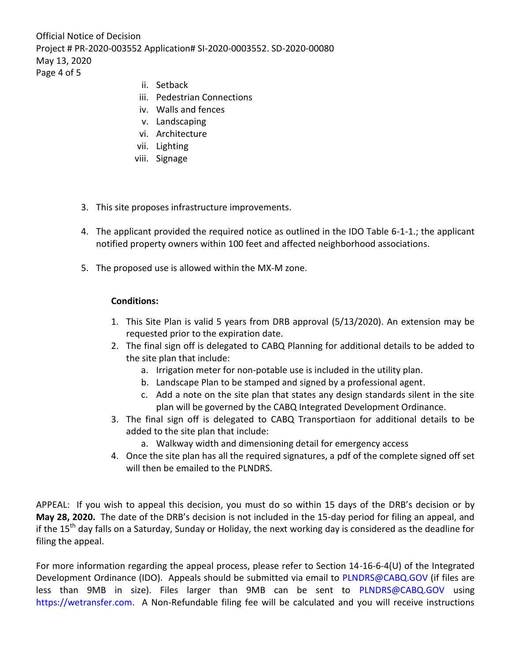Official Notice of Decision Project # PR-2020-003552 Application# SI-2020-0003552. SD-2020-00080 May 13, 2020 Page 4 of 5

- ii. Setback
- iii. Pedestrian Connections
- iv. Walls and fences
- v. Landscaping
- vi. Architecture
- vii. Lighting
- viii. Signage
- 3. This site proposes infrastructure improvements.
- 4. The applicant provided the required notice as outlined in the IDO Table 6-1-1.; the applicant notified property owners within 100 feet and affected neighborhood associations.
- 5. The proposed use is allowed within the MX-M zone.

## **Conditions:**

- 1. This Site Plan is valid 5 years from DRB approval (5/13/2020). An extension may be requested prior to the expiration date.
- 2. The final sign off is delegated to CABQ Planning for additional details to be added to the site plan that include:
	- a. Irrigation meter for non-potable use is included in the utility plan.
	- b. Landscape Plan to be stamped and signed by a professional agent.
	- c. Add a note on the site plan that states any design standards silent in the site plan will be governed by the CABQ Integrated Development Ordinance.
- 3. The final sign off is delegated to CABQ Transportiaon for additional details to be added to the site plan that include:
	- a. Walkway width and dimensioning detail for emergency access
- 4. Once the site plan has all the required signatures, a pdf of the complete signed off set will then be emailed to the PLNDRS.

APPEAL: If you wish to appeal this decision, you must do so within 15 days of the DRB's decision or by **May 28, 2020.** The date of the DRB's decision is not included in the 15-day period for filing an appeal, and if the 15<sup>th</sup> day falls on a Saturday, Sunday or Holiday, the next working day is considered as the deadline for filing the appeal.

For more information regarding the appeal process, please refer to Section 14-16-6-4(U) of the Integrated Development Ordinance (IDO). Appeals should be submitted via email to [PLNDRS@CABQ.GOV](mailto:PLNDRS@CABQ.GOV) (if files are less than 9MB in size). Files larger than 9MB can be sent to [PLNDRS@CABQ.GOV](mailto:PLNDRS@CABQ.GOV) using [https://wetransfer.com.](https://wetransfer.com/) A Non-Refundable filing fee will be calculated and you will receive instructions